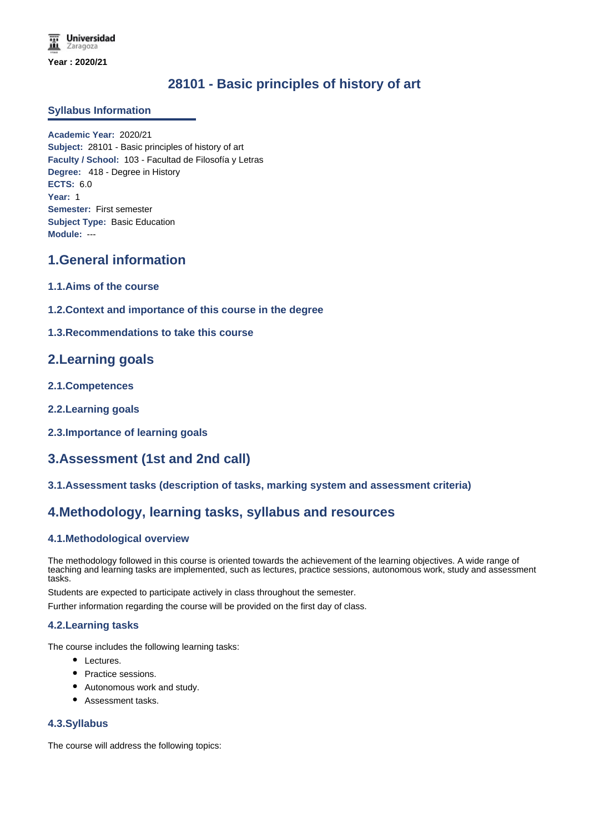# **28101 - Basic principles of history of art**

## **Syllabus Information**

**Academic Year:** 2020/21 **Subject:** 28101 - Basic principles of history of art **Faculty / School:** 103 - Facultad de Filosofía y Letras **Degree:** 418 - Degree in History **ECTS:** 6.0 **Year:** 1 **Semester:** First semester **Subject Type:** Basic Education **Module:** ---

# **1.General information**

- **1.1.Aims of the course**
- **1.2.Context and importance of this course in the degree**
- **1.3.Recommendations to take this course**

# **2.Learning goals**

- **2.1.Competences**
- **2.2.Learning goals**
- **2.3.Importance of learning goals**

# **3.Assessment (1st and 2nd call)**

**3.1.Assessment tasks (description of tasks, marking system and assessment criteria)**

# **4.Methodology, learning tasks, syllabus and resources**

## **4.1.Methodological overview**

The methodology followed in this course is oriented towards the achievement of the learning objectives. A wide range of teaching and learning tasks are implemented, such as lectures, practice sessions, autonomous work, study and assessment tasks.

Students are expected to participate actively in class throughout the semester.

Further information regarding the course will be provided on the first day of class.

## **4.2.Learning tasks**

The course includes the following learning tasks:

- Lectures.
- Practice sessions.
- Autonomous work and study.
- Assessment tasks.

## **4.3.Syllabus**

The course will address the following topics: